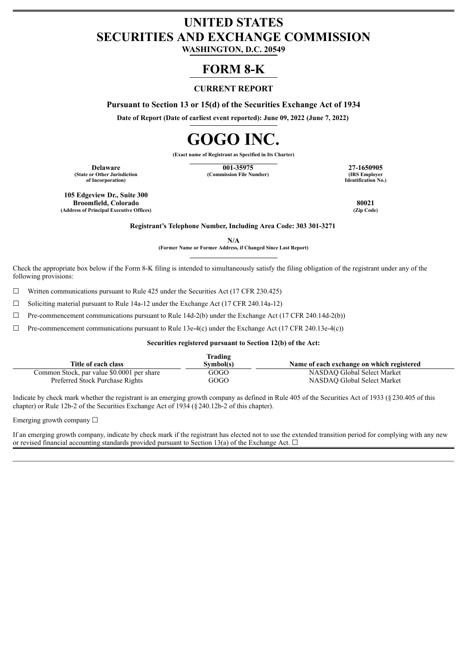# **UNITED STATES SECURITIES AND EXCHANGE COMMISSION**

**WASHINGTON, D.C. 20549**

# **FORM 8-K**

# **CURRENT REPORT**

**Pursuant to Section 13 or 15(d) of the Securities Exchange Act of 1934**

**Date of Report (Date of earliest event reported): June 09, 2022 (June 7, 2022)**

# **GOGO INC.**

**(Exact name of Registrant as Specified in Its Charter)**

**(State or Other Jurisdiction of Incorporation)**

**Delaware 127-1650905 127-1650905 127-1650905 27-1650905 27-1650905 127-1650905 128 27-1650905 128 27-1650905 (Commission File Number)** 

**Identification No.)**

**105 Edgeview Dr., Suite 300 Broomfield, Colorado 80021 (Address of Principal Executive Offices)** 

**Registrant's Telephone Number, Including Area Code: 303 301-3271**

**N/A**

**(Former Name or Former Address, if Changed Since Last Report)**

Check the appropriate box below if the Form 8-K filing is intended to simultaneously satisfy the filing obligation of the registrant under any of the following provisions:

 $\Box$  Written communications pursuant to Rule 425 under the Securities Act (17 CFR 230.425)

☐ Soliciting material pursuant to Rule 14a-12 under the Exchange Act (17 CFR 240.14a-12)

 $\Box$  Pre-commencement communications pursuant to Rule 14d-2(b) under the Exchange Act (17 CFR 240.14d-2(b))

 $\Box$  Pre-commencement communications pursuant to Rule 13e-4(c) under the Exchange Act (17 CFR 240.13e-4(c))

### **Securities registered pursuant to Section 12(b) of the Act:**

|                                            | Frading   |                                           |
|--------------------------------------------|-----------|-------------------------------------------|
| Title of each class                        | Svmbol(s) | Name of each exchange on which registered |
| Common Stock, par value \$0.0001 per share | GOGO      | NASDAO Global Select Market               |
| Preferred Stock Purchase Rights            | GOGO      | NASDAO Global Select Market               |

Indicate by check mark whether the registrant is an emerging growth company as defined in Rule 405 of the Securities Act of 1933 (§230.405 of this chapter) or Rule 12b-2 of the Securities Exchange Act of 1934 (§240.12b-2 of this chapter).

Emerging growth company ☐

If an emerging growth company, indicate by check mark if the registrant has elected not to use the extended transition period for complying with any new or revised financial accounting standards provided pursuant to Section 13(a) of the Exchange Act.  $\Box$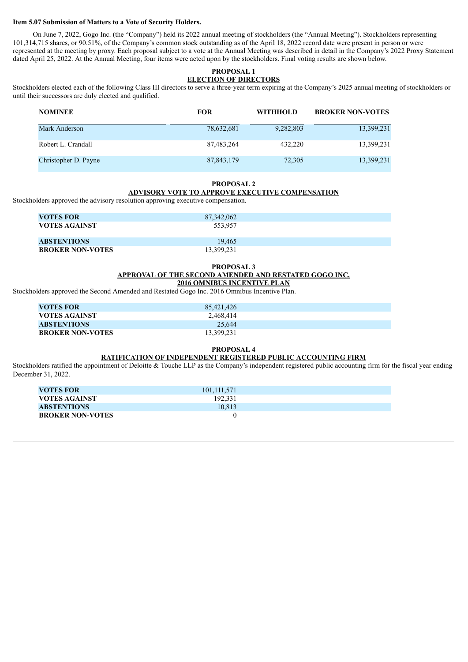#### **Item 5.07 Submission of Matters to a Vote of Security Holders.**

On June 7, 2022, Gogo Inc. (the "Company") held its 2022 annual meeting of stockholders (the "Annual Meeting"). Stockholders representing 101,314,715 shares, or 90.51%, of the Company's common stock outstanding as of the April 18, 2022 record date were present in person or were represented at the meeting by proxy. Each proposal subject to a vote at the Annual Meeting was described in detail in the Company's 2022 Proxy Statement dated April 25, 2022. At the Annual Meeting, four items were acted upon by the stockholders. Final voting results are shown below.

#### **PROPOSAL 1 ELECTION OF DIRECTORS**

Stockholders elected each of the following Class III directors to serve a three-year term expiring at the Company's 2025 annual meeting of stockholders or until their successors are duly elected and qualified.

| <b>NOMINEE</b>       | <b>FOR</b>   | <b>WITHHOLD</b> | <b>BROKER NON-VOTES</b> |
|----------------------|--------------|-----------------|-------------------------|
| Mark Anderson        | 78,632,681   | 9,282,803       | 13,399,231              |
| Robert L. Crandall   | 87,483,264   | 432,220         | 13,399,231              |
| Christopher D. Payne | 87, 843, 179 | 72,305          | 13,399,231              |

#### **PROPOSAL 2**

## **ADVISORY VOTE TO APPROVE EXECUTIVE COMPENSATION**

Stockholders approved the advisory resolution approving executive compensation.

| <b>VOTES FOR</b><br><b>VOTES AGAINST</b> | 87,342,062<br>553.957 |  |
|------------------------------------------|-----------------------|--|
| <b>ABSTENTIONS</b>                       | 19.465                |  |
| <b>BROKER NON-VOTES</b>                  | 13,399,231            |  |

#### **PROPOSAL 3 APPROVAL OF THE SECOND AMENDED AND RESTATED GOGO INC. 2016 OMNIBUS INCENTIVE PLAN**

Stockholders approved the Second Amended and Restated Gogo Inc. 2016 Omnibus Incentive Plan.

| <b>VOTES FOR</b>        | 85.421.426 |  |
|-------------------------|------------|--|
| <b>VOTES AGAINST</b>    | 2,468,414  |  |
| <b>ABSTENTIONS</b>      | 25.644     |  |
| <b>BROKER NON-VOTES</b> | 13.399.231 |  |

#### **PROPOSAL 4**

#### **RATIFICATION OF INDEPENDENT REGISTERED PUBLIC ACCOUNTING FIRM**

Stockholders ratified the appointment of Deloitte & Touche LLP as the Company's independent registered public accounting firm for the fiscal year ending December 31, 2022.

| VOTES FOR               | 101, 111, 571 |  |
|-------------------------|---------------|--|
| VOTES AGAINST           | 192.331       |  |
| <b>ABSTENTIONS</b>      | 10.813        |  |
| <b>BROKER NON-VOTES</b> |               |  |